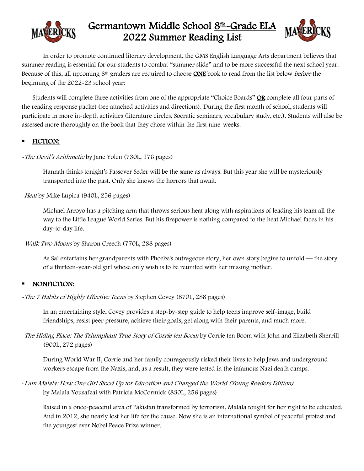

## Germantown Middle School 8th-Grade ELA 2022 Summer Reading List



In order to promote continued literacy development, the GMS English Language Arts department believes that summer reading is essential for our students to combat "summer slide" and to be more successful the next school year. Because of this, all upcoming  $8<sup>th</sup>$  graders are required to choose **ONE** book to read from the list below *before* the beginning of the 2022-23 school year:

Students will complete three activities from one of the appropriate "Choice Boards" OR complete all four parts of the reading response packet (see attached activities and directions). During the first month of school, students will participate in more in-depth activities (literature circles, Socratic seminars, vocabulary study, etc.). Students will also be assessed more thoroughly on the book that they chose within the first nine-weeks.

#### § FICTION:

-The Devil's Arithmetic by Jane Yolen (730L, 176 pages)

Hannah thinks tonight's Passover Seder will be the same as always. But this year she will be mysteriously transported into the past. Only she knows the horrors that await.

-Heat by Mike Lupica (940L, 256 pages)

Michael Arroyo has a pitching arm that throws serious heat along with aspirations of leading his team all the way to the Little League World Series. But his firepower is nothing compared to the heat Michael faces in his day-to-day life.

- Walk Two Moons by Sharon Creech (770L, 288 pages)

As Sal entertains her grandparents with Phoebe's outrageous story, her own story begins to unfold — the story of a thirteen-year-old girl whose only wish is to be reunited with her missing mother.

#### § NONFICTION:

-The 7 Habits of Highly Effective Teens by Stephen Covey (870L, 288 pages)

In an entertaining style, Covey provides a step-by-step guide to help teens improve self-image, build friendships, resist peer pressure, achieve their goals, get along with their parents, and much more.

-The Hiding Place: The Triumphant True Story of Corrie ten Boom by Corrie ten Boom with John and Elizabeth Sherrill (900L, 272 pages)

During World War II, Corrie and her family courageously risked their lives to help Jews and underground workers escape from the Nazis, and, as a result, they were tested in the infamous Nazi death camps.

-I am Malala: How One Girl Stood Up for Education and Changed the World (Young Readers Edition) by Malala Yousafzai with Patricia McCormick (830L, 256 pages)

Raised in a once-peaceful area of Pakistan transformed by terrorism, Malala fought for her right to be educated. And in 2012, she nearly lost her life for the cause. Now she is an international symbol of peaceful protest and the youngest ever Nobel Peace Prize winner.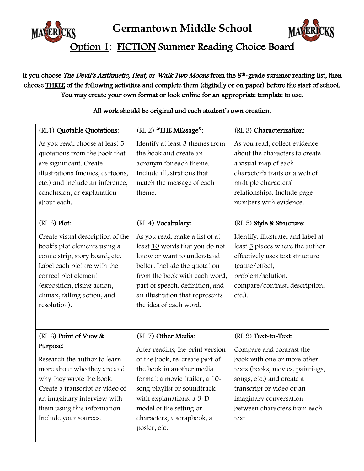

If you choose The Devil's Arithmetic, Heat, or Walk Two Moons from the 8<sup>th</sup>-grade summer reading list, then choose THREE of the following activities and complete them (digitally or on paper) before the start of school. You may create your own format or look online for an appropriate template to use.

| (RL1) Quotable Quotations:                                                                                                                                                                                                              | (RL 2) "THE MEssage":                                                                                                                                                                                                                                                | (RL 3) Characterization:                                                                                                                                                                                                 |
|-----------------------------------------------------------------------------------------------------------------------------------------------------------------------------------------------------------------------------------------|----------------------------------------------------------------------------------------------------------------------------------------------------------------------------------------------------------------------------------------------------------------------|--------------------------------------------------------------------------------------------------------------------------------------------------------------------------------------------------------------------------|
| As you read, choose at least 5<br>quotations from the book that<br>are significant. Create<br>illustrations (memes, cartoons,<br>etc.) and include an inference,<br>conclusion, or explanation<br>about each.                           | Identify at least 3 themes from<br>the book and create an<br>acronym for each theme.<br>Include illustrations that<br>match the message of each<br>theme.                                                                                                            | As you read, collect evidence<br>about the characters to create<br>a visual map of each<br>character's traits or a web of<br>multiple characters'<br>relationships. Include page<br>numbers with evidence.               |
| $(RL 3)$ Plot:                                                                                                                                                                                                                          | (RL 4) Vocabulary:                                                                                                                                                                                                                                                   | (RL 5) Style & Structure:                                                                                                                                                                                                |
| Create visual description of the<br>book's plot elements using a<br>comic strip, story board, etc.<br>Label each picture with the<br>correct plot element<br>(exposition, rising action,<br>climax, falling action, and<br>resolution). | As you read, make a list of at<br>least 10 words that you do not<br>know or want to understand<br>better. Include the quotation<br>from the book with each word,<br>part of speech, definition, and<br>an illustration that represents<br>the idea of each word.     | Identify, illustrate, and label at<br>least 5 places where the author<br>effectively uses text structure<br>(cause/effect,<br>problem/solution,<br>compare/contrast, description,<br>etc.).                              |
| $(RL 6)$ Point of View &                                                                                                                                                                                                                | (RL 7) Other Media:                                                                                                                                                                                                                                                  | (RL 9) Text-to-Text:                                                                                                                                                                                                     |
| Purpose:<br>Research the author to learn<br>more about who they are and<br>why they wrote the book.<br>Create a transcript or video of<br>an imaginary interview with<br>them using this information.<br>Include your sources.          | After reading the print version<br>of the book, re-create part of<br>the book in another media<br>format: a movie trailer, a 10-<br>song playlist or soundtrack<br>with explanations, a 3-D<br>model of the setting or<br>characters, a scrapbook, a<br>poster, etc. | Compare and contrast the<br>book with one or more other<br>texts (books, movies, paintings,<br>songs, etc.) and create a<br>transcript or video or an<br>imaginary conversation<br>between characters from each<br>text. |

All work should be original and each student's own creation.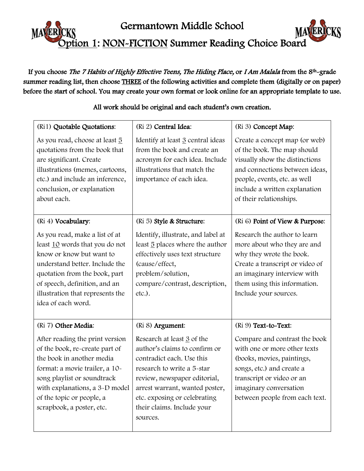## Germantown Middle School  $M$ ption 1: NON-FICTION Summer Reading Choice Board

If you choose The 7 Habits of Highly Effective Teens, The Hiding Place, or I Am Malala from the 8<sup>th</sup>-grade summer reading list, then choose THREE of the following activities and complete them (digitally or on paper) before the start of school. You may create your own format or look online for an appropriate template to use.

All work should be original and each student's own creation.

| (Ri1) Quotable Quotations:                                                                                                                                                                                                                                  | (Ri 2) Central Idea:                                                                                                                                                                                                                                               | (Ri 3) Concept Map:                                                                                                                                                                                                          |
|-------------------------------------------------------------------------------------------------------------------------------------------------------------------------------------------------------------------------------------------------------------|--------------------------------------------------------------------------------------------------------------------------------------------------------------------------------------------------------------------------------------------------------------------|------------------------------------------------------------------------------------------------------------------------------------------------------------------------------------------------------------------------------|
| As you read, choose at least 5<br>quotations from the book that<br>are significant. Create<br>illustrations (memes, cartoons,<br>etc.) and include an inference,<br>conclusion, or explanation<br>about each.                                               | Identify at least 3 central ideas<br>from the book and create an<br>acronym for each idea. Include<br>illustrations that match the<br>importance of each idea.                                                                                                     | Create a concept map (or web)<br>of the book. The map should<br>visually show the distinctions<br>and connections between ideas,<br>people, events, etc. as well<br>include a written explanation<br>of their relationships. |
| (Ri 4) Vocabulary:                                                                                                                                                                                                                                          | (Ri 5) Style & Structure:                                                                                                                                                                                                                                          | (Ri 6) Point of View & Purpose:                                                                                                                                                                                              |
| As you read, make a list of at<br>least 10 words that you do not<br>know or know but want to<br>understand better. Include the<br>quotation from the book, part<br>of speech, definition, and an<br>illustration that represents the<br>idea of each word.  | Identify, illustrate, and label at<br>least 5 places where the author<br>effectively uses text structure<br>(cause/effect,<br>problem/solution,<br>compare/contrast, description,<br>etc.).                                                                        | Research the author to learn<br>more about who they are and<br>why they wrote the book.<br>Create a transcript or video of<br>an imaginary interview with<br>them using this information.<br>Include your sources.           |
| (Ri 7) Other Media:                                                                                                                                                                                                                                         | (Ri 8) Argument:                                                                                                                                                                                                                                                   | $(Ri 9)$ Text-to-Text:                                                                                                                                                                                                       |
| After reading the print version<br>of the book, re-create part of<br>the book in another media<br>format: a movie trailer, a 10-<br>song playlist or soundtrack<br>with explanations, a 3-D model<br>of the topic or people, a<br>scrapbook, a poster, etc. | Research at least 3 of the<br>author's claims to confirm or<br>contradict each. Use this<br>research to write a 5-star<br>review, newspaper editorial,<br>arrest warrant, wanted poster,<br>etc. exposing or celebrating<br>their claims. Include your<br>sources. | Compare and contrast the book<br>with one or more other texts<br>(books, movies, paintings,<br>songs, etc.) and create a<br>transcript or video or an<br>imaginary conversation<br>between people from each text.            |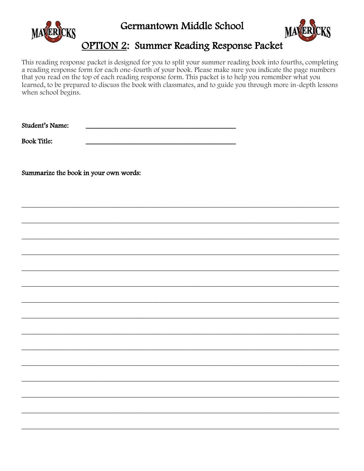

This reading response packet is designed for you to split your summer reading book into fourths, completing a reading response form for each one-fourth of your book. Please make sure you indicate the page numbers that you read on the top of each reading response form. This packet is to help you remember what you learned, to be prepared to discuss the book with classmates, and to guide you through more in-depth lessons when school begins.

Student's Name:

**Book Title:** 

Summarize the book in your own words: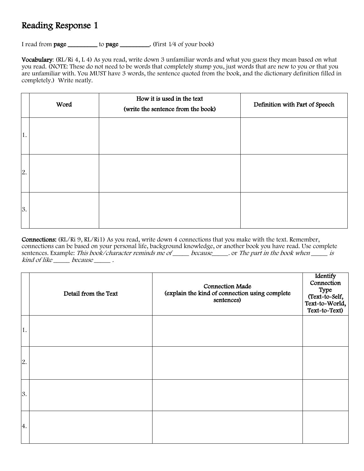I read from page \_\_\_\_\_\_\_\_\_ to page \_\_\_\_\_\_\_\_. (First 1/4 of your book)

Vocabulary: (RL/Ri 4, L 4) As you read, write down 3 unfamiliar words and what you guess they mean based on what you read. (NOTE: These do not need to be words that completely stump you, just words that are new to you or that you are unfamiliar with. You MUST have 3 words, the sentence quoted from the book, and the dictionary definition filled in completely.) Write neatly.

|    | Word | How it is used in the text<br>(write the sentence from the book) | Definition with Part of Speech |
|----|------|------------------------------------------------------------------|--------------------------------|
| 1. |      |                                                                  |                                |
| 2. |      |                                                                  |                                |
| 3. |      |                                                                  |                                |

Connections: (RL/Ri 9, RL/Ri1) As you read, write down 4 connections that you make with the text. Remember, connections can be based on your personal life, background knowledge, or another book you have read. Use complete sentences. Example: This book/character reminds me of \_\_\_\_\_\_ because\_\_\_\_\_. or The part in the book when \_\_\_\_\_ is kind of like \_\_\_\_\_\_ because \_\_\_\_\_\_\_.

|    | Detail from the Text | <b>Connection Made</b><br>(explain the kind of connection using complete<br>sentences) | Identify<br>Connection<br>Type<br>(Text-to-Self,<br>Text-to-World,<br>Text-to-Text) |
|----|----------------------|----------------------------------------------------------------------------------------|-------------------------------------------------------------------------------------|
| 1. |                      |                                                                                        |                                                                                     |
| 2. |                      |                                                                                        |                                                                                     |
| 3. |                      |                                                                                        |                                                                                     |
| 4. |                      |                                                                                        |                                                                                     |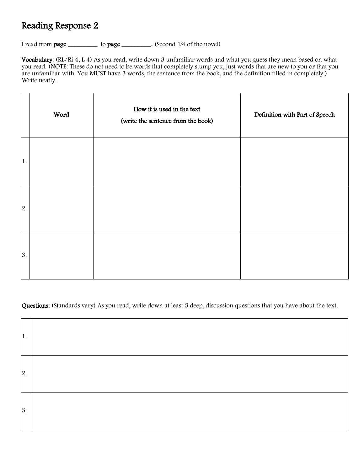I read from page \_\_\_\_\_\_\_\_\_\_ to page \_\_\_\_\_\_\_\_. (Second 1/4 of the novel)

Vocabulary: (RL/Ri 4, L 4) As you read, write down 3 unfamiliar words and what you guess they mean based on what you read. (NOTE: These do not need to be words that completely stump you, just words that are new to you or that you are unfamiliar with. You MUST have 3 words, the sentence from the book, and the definition filled in completely.) Write neatly.

|    | Word | How it is used in the text<br>(write the sentence from the book) | Definition with Part of Speech |
|----|------|------------------------------------------------------------------|--------------------------------|
| 1. |      |                                                                  |                                |
| 2. |      |                                                                  |                                |
| 3. |      |                                                                  |                                |

Questions: (Standards vary) As you read, write down at least 3 deep, discussion questions that you have about the text.

| 1. |  |
|----|--|
| 2. |  |
| 3. |  |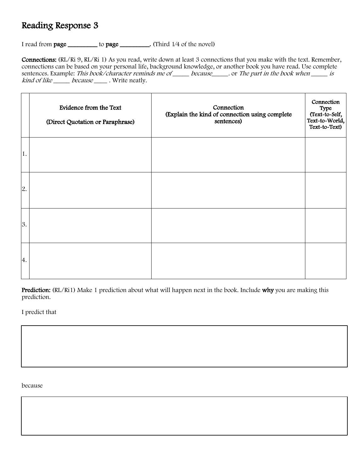I read from page \_\_\_\_\_\_\_\_\_ to page \_\_\_\_\_\_\_\_. (Third 1/4 of the novel)

Connections: (RL/Ri 9, RL/Ri 1) As you read, write down at least 3 connections that you make with the text. Remember, connections can be based on your personal life, background knowledge, or another book you have read. Use complete sentences. Example: This book/character reminds me of \_\_\_\_\_\_ because\_\_\_\_\_. or The part in the book when \_\_\_\_\_ is kind of like \_\_\_\_\_\_ because \_\_\_\_\_ . Write neatly.

|    | Evidence from the Text<br>(Direct Quotation or Paraphrase) | Connection<br>(Explain the kind of connection using complete<br>sentences) | Connection<br>Type<br>(Text-to-Self,<br>Text-to-World,<br>Text-to-Text) |
|----|------------------------------------------------------------|----------------------------------------------------------------------------|-------------------------------------------------------------------------|
| 1. |                                                            |                                                                            |                                                                         |
| 2. |                                                            |                                                                            |                                                                         |
| 3. |                                                            |                                                                            |                                                                         |
| 4. |                                                            |                                                                            |                                                                         |

**Prediction:** (RL/Ri1) Make 1 prediction about what will happen next in the book. Include why you are making this prediction.

I predict that

because

I